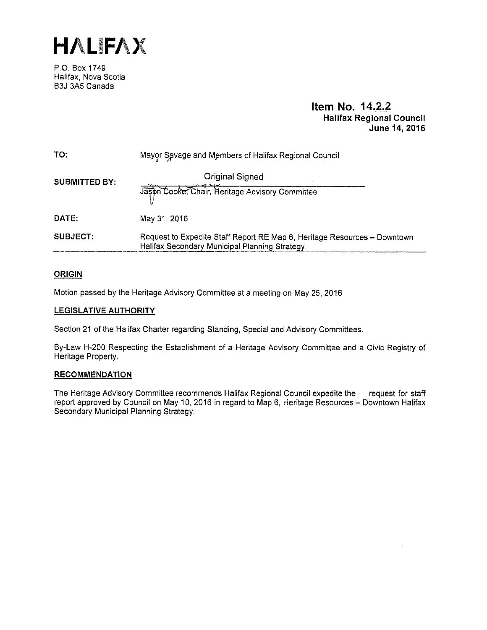**HALIFA){** 

P.O. Box 1749 Halifax, Nova Scotia B3J 3A5 Canada

# **Item No. 14.2.2 Halifax Regional Council June 14, 2016**

| TO:                  | Mayor Savage and Members of Halifax Regional Council                                                                       |
|----------------------|----------------------------------------------------------------------------------------------------------------------------|
| <b>SUBMITTED BY:</b> | Original Signed<br>en T                                                                                                    |
|                      | Jason Cooke, Chair, Heritage Advisory Committee                                                                            |
| DATE:                | May 31, 2016                                                                                                               |
| <b>SUBJECT:</b>      | Request to Expedite Staff Report RE Map 6, Heritage Resources - Downtown<br>Halifax Secondary Municipal Planning Strategy. |

## **ORIGIN**

Motion passed by the Heritage Advisory Committee at a meeting on May 25, 2016

## **LEGISLATIVE AUTHORITY**

Section 21 of the Halifax Charter regarding Standing, Special and Advisory Committees.

By-Law H-200 Respecting the Establishment of a Heritage Advisory Committee and a Civic Registry of Heritage Property.

## **RECOMMENDATION**

The Heritage Advisory Committee recommends Halifax Regional Council expedite the request for staff report approved by Council on May 10, 2016 in regard to Map 6, Heritage Resources - Downtown Halifax Secondary Municipal Planning Strategy.